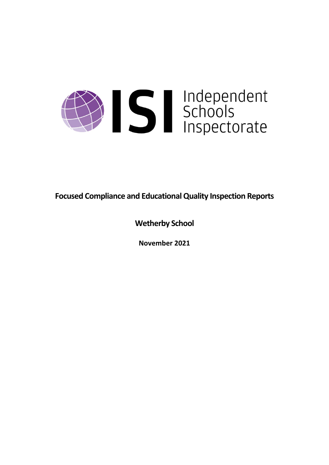

**Focused Compliance and EducationalQuality Inspection Reports**

**Wetherby School**

**November 2021**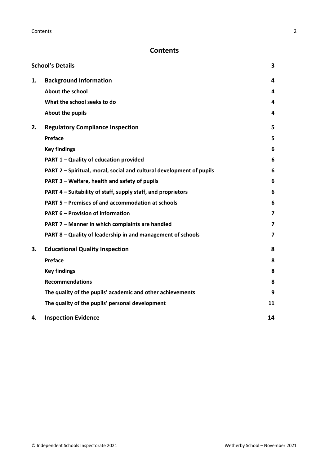# **Contents**

|    | <b>School's Details</b>                                              | 3                       |
|----|----------------------------------------------------------------------|-------------------------|
| 1. | <b>Background Information</b>                                        | 4                       |
|    | <b>About the school</b>                                              | 4                       |
|    | What the school seeks to do                                          | 4                       |
|    | About the pupils                                                     | 4                       |
| 2. | <b>Regulatory Compliance Inspection</b>                              | 5                       |
|    | Preface                                                              | 5                       |
|    | <b>Key findings</b>                                                  | 6                       |
|    | PART 1 - Quality of education provided                               | 6                       |
|    | PART 2 - Spiritual, moral, social and cultural development of pupils | 6                       |
|    | PART 3 - Welfare, health and safety of pupils                        | 6                       |
|    | PART 4 – Suitability of staff, supply staff, and proprietors         | 6                       |
|    | PART 5 - Premises of and accommodation at schools                    | 6                       |
|    | <b>PART 6 - Provision of information</b>                             | $\overline{\mathbf{z}}$ |
|    | PART 7 - Manner in which complaints are handled                      | $\overline{7}$          |
|    | PART 8 - Quality of leadership in and management of schools          | $\overline{\mathbf{z}}$ |
| 3. | <b>Educational Quality Inspection</b>                                | 8                       |
|    | Preface                                                              | 8                       |
|    | <b>Key findings</b>                                                  | 8                       |
|    | <b>Recommendations</b>                                               | 8                       |
|    | The quality of the pupils' academic and other achievements           | 9                       |
|    | The quality of the pupils' personal development                      | 11                      |
| 4. | <b>Inspection Evidence</b>                                           | 14                      |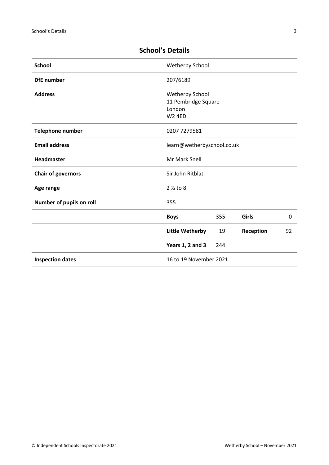| <b>School</b>                                     | Wetherby School                                                   |     |           |    |
|---------------------------------------------------|-------------------------------------------------------------------|-----|-----------|----|
| <b>DfE</b> number                                 | 207/6189                                                          |     |           |    |
| <b>Address</b>                                    | Wetherby School<br>11 Pembridge Square<br>London<br><b>W2 4ED</b> |     |           |    |
| Telephone number                                  | 0207 7279581                                                      |     |           |    |
| <b>Email address</b>                              | learn@wetherbyschool.co.uk                                        |     |           |    |
| Headmaster                                        | Mr Mark Snell                                                     |     |           |    |
| <b>Chair of governors</b>                         | Sir John Ritblat                                                  |     |           |    |
| Age range                                         | $2\frac{1}{2}$ to 8                                               |     |           |    |
| Number of pupils on roll                          | 355                                                               |     |           |    |
|                                                   | <b>Boys</b>                                                       | 355 | Girls     | 0  |
|                                                   | <b>Little Wetherby</b>                                            | 19  | Reception | 92 |
|                                                   | Years 1, 2 and 3                                                  | 244 |           |    |
| <b>Inspection dates</b><br>16 to 19 November 2021 |                                                                   |     |           |    |

# <span id="page-2-0"></span>**School's Details**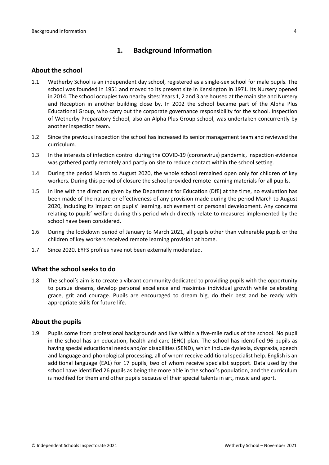# <span id="page-3-0"></span>**1. Background Information**

#### <span id="page-3-1"></span>**About the school**

- 1.1 Wetherby School is an independent day school, registered as a single-sex school for male pupils. The school was founded in 1951 and moved to its present site in Kensington in 1971. Its Nursery opened in 2014. The school occupiestwo nearby sites: Years 1, 2 and 3 are housed at the main site and Nursery and Reception in another building close by. In 2002 the school became part of the Alpha Plus Educational Group, who carry out the corporate governance responsibility for the school. Inspection of Wetherby Preparatory School, also an Alpha Plus Group school, was undertaken concurrently by another inspection team.
- 1.2 Since the previous inspection the school has increased its senior management team and reviewed the curriculum.
- 1.3 In the interests of infection control during the COVID-19 (coronavirus) pandemic, inspection evidence was gathered partly remotely and partly on site to reduce contact within the school setting.
- 1.4 During the period March to August 2020, the whole school remained open only for children of key workers. During this period of closure the school provided remote learning materials for all pupils.
- 1.5 In line with the direction given by the Department for Education (DfE) at the time, no evaluation has been made of the nature or effectiveness of any provision made during the period March to August 2020, including its impact on pupils' learning, achievement or personal development. Any concerns relating to pupils' welfare during this period which directly relate to measures implemented by the school have been considered.
- 1.6 During the lockdown period of January to March 2021, all pupils other than vulnerable pupils or the children of key workers received remote learning provision at home.
- 1.7 Since 2020, EYFS profiles have not been externally moderated.

#### <span id="page-3-2"></span>**What the school seeks to do**

1.8 The school's aim is to create a vibrant community dedicated to providing pupils with the opportunity to pursue dreams, develop personal excellence and maximise individual growth while celebrating grace, grit and courage. Pupils are encouraged to dream big, do their best and be ready with appropriate skills for future life.

#### <span id="page-3-3"></span>**About the pupils**

1.9 Pupils come from professional backgrounds and live within a five-mile radius of the school. No pupil in the school has an education, health and care (EHC) plan. The school has identified 96 pupils as having special educational needs and/or disabilities (SEND), which include dyslexia, dyspraxia, speech and language and phonological processing, all of whom receive additional specialist help. English is an additional language (EAL) for 17 pupils, two of whom receive specialist support. Data used by the school have identified 26 pupils as being the more able in the school's population, and the curriculum is modified for them and other pupils because of their special talents in art, music and sport.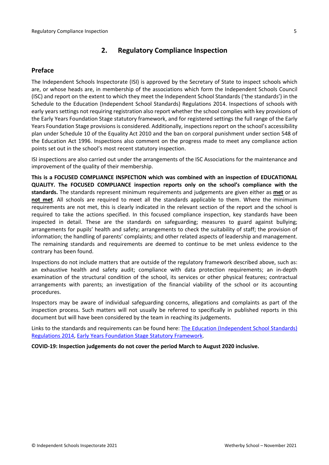# <span id="page-4-0"></span>**2. Regulatory Compliance Inspection**

### <span id="page-4-1"></span>**Preface**

The Independent Schools Inspectorate (ISI) is approved by the Secretary of State to inspect schools which are, or whose heads are, in membership of the associations which form the Independent Schools Council (ISC) and report on the extent to which they meet the Independent School Standards ('the standards') in the Schedule to the Education (Independent School Standards) Regulations 2014. Inspections of schools with early years settings not requiring registration also report whether the school complies with key provisions of the Early Years Foundation Stage statutory framework, and for registered settings the full range of the Early Years Foundation Stage provisions is considered. Additionally, inspections report on the school's accessibility plan under Schedule 10 of the Equality Act 2010 and the ban on corporal punishment under section 548 of the Education Act 1996. Inspections also comment on the progress made to meet any compliance action points set out in the school's most recent statutory inspection.

ISI inspections are also carried out under the arrangements of the ISC Associations for the maintenance and improvement of the quality of their membership.

**This is a FOCUSED COMPLIANCE INSPECTION which was combined with an inspection of EDUCATIONAL QUALITY. The FOCUSED COMPLIANCE inspection reports only on the school's compliance with the standards.** The standards represent minimum requirements and judgements are given either as **met** or as **not met**. All schools are required to meet all the standards applicable to them. Where the minimum requirements are not met, this is clearly indicated in the relevant section of the report and the school is required to take the actions specified. In this focused compliance inspection, key standards have been inspected in detail. These are the standards on safeguarding; measures to guard against bullying; arrangements for pupils' health and safety; arrangements to check the suitability of staff; the provision of information; the handling of parents' complaints; and other related aspects of leadership and management. The remaining standards and requirements are deemed to continue to be met unless evidence to the contrary has been found.

Inspections do not include matters that are outside of the regulatory framework described above, such as: an exhaustive health and safety audit; compliance with data protection requirements; an in-depth examination of the structural condition of the school, its services or other physical features; contractual arrangements with parents; an investigation of the financial viability of the school or its accounting procedures.

Inspectors may be aware of individual safeguarding concerns, allegations and complaints as part of the inspection process. Such matters will not usually be referred to specifically in published reports in this document but will have been considered by the team in reaching its judgements.

Links to the standards and requirements can be found here: The Education [\(Independent](http://www.legislation.gov.uk/uksi/2014/3283/contents/made) School Standards) [Regulations](http://www.legislation.gov.uk/uksi/2014/3283/contents/made) 2014, Early Years Foundation Stage Statutory [Framework.](https://www.gov.uk/government/publications/early-years-foundation-stage-framework--2)

**COVID-19: Inspection judgements do not cover the period March to August 2020 inclusive.**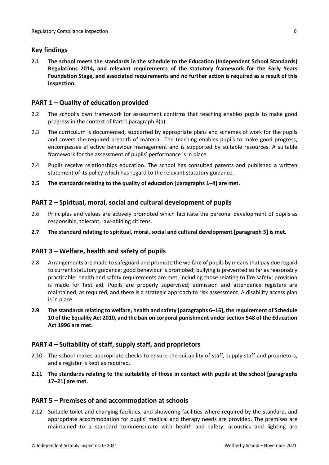# <span id="page-5-0"></span>**Key findings**

**2.1 The school meets the standards in the schedule to the Education (Independent School Standards) Regulations 2014, and relevant requirements of the statutory framework for the Early Years Foundation Stage, and associated requirements and no further action is required as a result of this inspection.**

# <span id="page-5-1"></span>**PART 1 – Quality of education provided**

- 2.2 The school's own framework for assessment confirms that teaching enables pupils to make good progress in the context of Part 1 paragraph 3(a).
- 2.3 The curriculum is documented, supported by appropriate plans and schemes of work for the pupils and covers the required breadth of material. The teaching enables pupils to make good progress, encompasses effective behaviour management and is supported by suitable resources. A suitable framework for the assessment of pupils' performance is in place.
- 2.4 Pupils receive relationships education. The school has consulted parents and published a written statement of its policy which has regard to the relevant statutory guidance.
- **2.5 The standards relating to the quality of education [paragraphs 1–4] are met.**

## <span id="page-5-2"></span>**PART 2 – Spiritual, moral, social and cultural development of pupils**

- 2.6 Principles and values are actively promoted which facilitate the personal development of pupils as responsible, tolerant, law-abiding citizens.
- **2.7 The standard relating to spiritual, moral, social and cultural development [paragraph 5] is met.**

### <span id="page-5-3"></span>**PART 3 – Welfare, health and safety of pupils**

- 2.8 Arrangements are made to safeguard and promote the welfare of pupils by means that pay due regard to current statutory guidance; good behaviour is promoted; bullying is prevented so far as reasonably practicable; health and safety requirements are met, including those relating to fire safety; provision is made for first aid. Pupils are properly supervised; admission and attendance registers are maintained, as required, and there is a strategic approach to risk assessment. A disability access plan is in place.
- **2.9 The standardsrelating to welfare, health and safety [paragraphs 6–16], the requirement of Schedule 10 of the Equality Act 2010, and the ban on corporal punishment undersection 548 of the Education Act 1996 are met.**

### <span id="page-5-4"></span>**PART 4 – Suitability of staff, supply staff, and proprietors**

- 2.10 The school makes appropriate checks to ensure the suitability of staff, supply staff and proprietors, and a register is kept as required.
- **2.11 The standards relating to the suitability of those in contact with pupils at the school [paragraphs 17–21] are met.**

### <span id="page-5-5"></span>**PART 5 – Premises of and accommodation at schools**

2.12 Suitable toilet and changing facilities, and showering facilities where required by the standard, and appropriate accommodation for pupils' medical and therapy needs are provided. The premises are maintained to a standard commensurate with health and safety; acoustics and lighting are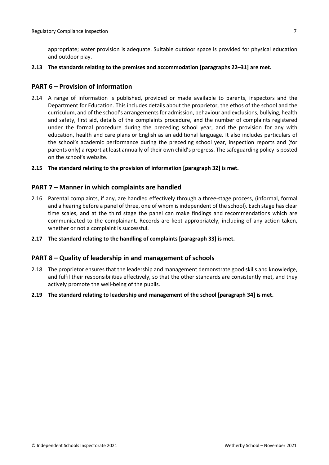appropriate; water provision is adequate. Suitable outdoor space is provided for physical education and outdoor play.

**2.13 The standards relating to the premises and accommodation [paragraphs 22–31] are met.**

### <span id="page-6-0"></span>**PART 6 – Provision of information**

- 2.14 A range of information is published, provided or made available to parents, inspectors and the Department for Education. This includes details about the proprietor, the ethos of the school and the curriculum, and of the school's arrangementsfor admission, behaviour and exclusions, bullying, health and safety, first aid, details of the complaints procedure, and the number of complaints registered under the formal procedure during the preceding school year, and the provision for any with education, health and care plans or English as an additional language. It also includes particulars of the school's academic performance during the preceding school year, inspection reports and (for parents only) a report at least annually of their own child's progress. The safeguarding policy is posted on the school's website.
- **2.15 The standard relating to the provision of information [paragraph 32] is met.**

#### <span id="page-6-1"></span>**PART 7 – Manner in which complaints are handled**

- 2.16 Parental complaints, if any, are handled effectively through a three-stage process, (informal, formal and a hearing before a panel of three, one of whom isindependent of the school). Each stage has clear time scales, and at the third stage the panel can make findings and recommendations which are communicated to the complainant. Records are kept appropriately, including of any action taken, whether or not a complaint is successful.
- **2.17 The standard relating to the handling of complaints [paragraph 33] is met.**

#### <span id="page-6-2"></span>**PART 8 – Quality of leadership in and management of schools**

- 2.18 The proprietor ensures that the leadership and management demonstrate good skills and knowledge, and fulfil their responsibilities effectively, so that the other standards are consistently met, and they actively promote the well-being of the pupils.
- **2.19 The standard relating to leadership and management of the school [paragraph 34] is met.**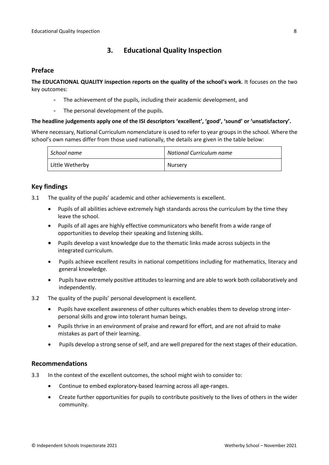# <span id="page-7-0"></span>**3. Educational Quality Inspection**

### <span id="page-7-1"></span>**Preface**

**The EDUCATIONAL QUALITY inspection reports on the quality of the school's work**. It focuses on the two key outcomes:

- The achievement of the pupils, including their academic development, and
- The personal development of the pupils.

#### **The headline judgements apply one of the ISI descriptors 'excellent', 'good', 'sound' or 'unsatisfactory'.**

Where necessary, National Curriculum nomenclature is used to refer to year groups in the school. Where the school's own names differ from those used nationally, the details are given in the table below:

| School name     | National Curriculum name |
|-----------------|--------------------------|
| Little Wetherby | Nursery                  |

# <span id="page-7-2"></span>**Key findings**

- 3.1 The quality of the pupils' academic and other achievements is excellent.
	- Pupils of all abilities achieve extremely high standards across the curriculum by the time they leave the school.
	- Pupils of all ages are highly effective communicators who benefit from a wide range of opportunities to develop their speaking and listening skills.
	- Pupils develop a vast knowledge due to the thematic links made across subjects in the integrated curriculum.
	- Pupils achieve excellent results in national competitions including for mathematics, literacy and general knowledge.
	- Pupils have extremely positive attitudes to learning and are able to work both collaboratively and independently.
- 3.2 The quality of the pupils' personal development is excellent.
	- Pupils have excellent awareness of other cultures which enables them to develop strong interpersonal skills and grow into tolerant human beings.
	- Pupils thrive in an environment of praise and reward for effort, and are not afraid to make mistakes as part of their learning.
	- Pupils develop a strong sense of self, and are well prepared for the next stages of their education.

#### <span id="page-7-3"></span>**Recommendations**

- 3.3 In the context of the excellent outcomes, the school might wish to consider to:
	- Continue to embed exploratory-based learning across all age-ranges.
	- Create further opportunities for pupils to contribute positively to the lives of others in the wider community.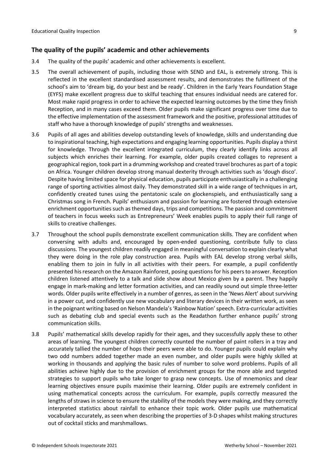### <span id="page-8-0"></span>**The quality of the pupils' academic and other achievements**

- 3.4 The quality of the pupils' academic and other achievements is excellent.
- 3.5 The overall achievement of pupils, including those with SEND and EAL, is extremely strong. This is reflected in the excellent standardised assessment results, and demonstrates the fulfilment of the school's aim to 'dream big, do your best and be ready'. Children in the Early Years Foundation Stage (EYFS) make excellent progress due to skilful teaching that ensures individual needs are catered for. Most make rapid progress in order to achieve the expected learning outcomes by the time they finish Reception, and in many cases exceed them. Older pupils make significant progress over time due to the effective implementation of the assessment framework and the positive, professional attitudes of staff who have a thorough knowledge of pupils' strengths and weaknesses.
- 3.6 Pupils of all ages and abilities develop outstanding levels of knowledge, skills and understanding due to inspirational teaching, high expectations and engaging learning opportunities. Pupils display a thirst for knowledge. Through the excellent integrated curriculum, they clearly identify links across all subjects which enriches their learning. For example, older pupils created collages to represent a geographical region, took part in a drumming workshop and created travel brochures as part of a topic on Africa. Younger children develop strong manual dexterity through activities such as 'dough disco'. Despite having limited space for physical education, pupils participate enthusiastically in a challenging range of sporting activities almost daily. They demonstrated skill in a wide range of techniques in art, confidently created tunes using the pentatonic scale on glockenspiels, and enthusiastically sang a Christmas song in French. Pupils' enthusiasm and passion for learning are fostered through extensive enrichment opportunities such as themed days, trips and competitions. The passion and commitment of teachers in focus weeks such as Entrepreneurs' Week enables pupils to apply their full range of skills to creative challenges.
- 3.7 Throughout the school pupils demonstrate excellent communication skills. They are confident when conversing with adults and, encouraged by open-ended questioning, contribute fully to class discussions. The youngest children readily engaged in meaningful conversation to explain clearly what they were doing in the role play construction area. Pupils with EAL develop strong verbal skills, enabling them to join in fully in all activities with their peers. For example, a pupil confidently presented hisresearch on the Amazon Rainforest, posing questions for his peers to answer. Reception children listened attentively to a talk and slide show about Mexico given by a parent. They happily engage in mark-making and letter formation activities, and can readily sound out simple three-letter words. Older pupils write effectively in a number of genres, asseen in the 'News Alert' about surviving in a power cut, and confidently use new vocabulary and literary devices in their written work, as seen in the poignant writing based on Nelson Mandela's 'Rainbow Nation' speech. Extra-curricular activities such as debating club and special events such as the Readathon further enhance pupils' strong communication skills.
- 3.8 Pupils' mathematical skills develop rapidly for their ages, and they successfully apply these to other areas of learning. The youngest children correctly counted the number of paint rollers in a tray and accurately tallied the number of hops their peers were able to do. Younger pupils could explain why two odd numbers added together made an even number, and older pupils were highly skilled at working in thousands and applying the basic rules of number to solve word problems. Pupils of all abilities achieve highly due to the provision of enrichment groups for the more able and targeted strategies to support pupils who take longer to grasp new concepts. Use of mnemonics and clear learning objectives ensure pupils maximise their learning. Older pupils are extremely confident in using mathematical concepts across the curriculum. For example, pupils correctly measured the lengths of straws in science to ensure the stability of the models they were making, and they correctly interpreted statistics about rainfall to enhance their topic work. Older pupils use mathematical vocabulary accurately, as seen when describing the properties of 3-D shapes whilst making structures out of cocktail sticks and marshmallows.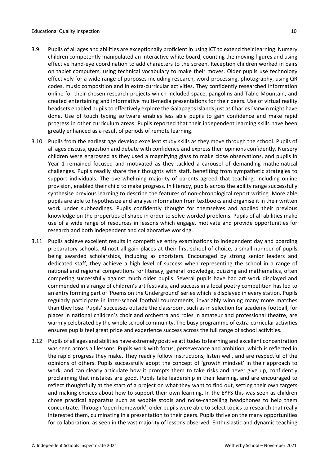- 3.9 Pupils of all ages and abilities are exceptionally proficient in using ICT to extend their learning. Nursery children competently manipulated an interactive white board, counting the moving figures and using effective hand-eye coordination to add characters to the screen. Reception children worked in pairs on tablet computers, using technical vocabulary to make their moves. Older pupils use technology effectively for a wide range of purposes including research, word-processing, photography, using QR codes, music composition and in extra-curricular activities. They confidently researched information online for their chosen research projects which included space, pangolins and Table Mountain, and created entertaining and informative multi-media presentations for their peers. Use of virtual reality headsets enabled pupils to effectively explore the Galapagos Islands just as Charles Darwin might have done. Use of touch typing software enables less able pupils to gain confidence and make rapid progress in other curriculum areas. Pupils reported that their independent learning skills have been greatly enhanced as a result of periods of remote learning.
- 3.10 Pupils from the earliest age develop excellent study skills as they move through the school. Pupils of all ages discuss, question and debate with confidence and express their opinions confidently. Nursery children were engrossed as they used a magnifying glass to make close observations, and pupils in Year 1 remained focused and motivated as they tackled a carousel of demanding mathematical challenges. Pupils readily share their thoughts with staff, benefiting from sympathetic strategies to support individuals. The overwhelming majority of parents agreed that teaching, including online provision, enabled their child to make progress. In literacy, pupils across the ability range successfully synthesise previous learning to describe the features of non-chronological report writing. More able pupils are able to hypothesize and analyse information from textbooks and organise it in their written work under subheadings. Pupils confidently thought for themselves and applied their previous knowledge on the properties of shape in order to solve worded problems. Pupils of all abilities make use of a wide range of resources in lessons which engage, motivate and provide opportunities for research and both independent and collaborative working.
- 3.11 Pupils achieve excellent results in competitive entry examinations to independent day and boarding preparatory schools. Almost all gain places at their first school of choice, a small number of pupils being awarded scholarships, including as choristers. Encouraged by strong senior leaders and dedicated staff, they achieve a high level of success when representing the school in a range of national and regional competitions for literacy, general knowledge, quizzing and mathematics, often competing successfully against much older pupils. Several pupils have had art work displayed and commended in a range of children's art festivals, and success in a local poetry competition has led to an entry forming part of 'Poems on the Underground' series which is displayed in every station. Pupils regularly participate in inter-school football tournaments, invariably winning many more matches than they lose. Pupils' successes outside the classroom, such as in selection for academy football, for places in national children's choir and orchestra and roles in amateur and professional theatre, are warmly celebrated by the whole school community. The busy programme of extra-curricular activities ensures pupils feel great pride and experience success across the full range of school activities.
- 3.12 Pupils of all ages and abilities have extremely positive attitudesto learning and excellent concentration was seen across all lessons. Pupils work with focus, perseverance and ambition, which is reflected in the rapid progress they make. They readily follow instructions, listen well, and are respectful of the opinions of others. Pupils successfully adopt the concept of 'growth mindset' in their approach to work, and can clearly articulate how it prompts them to take risks and never give up, confidently proclaiming that mistakes are good. Pupils take leadership in their learning, and are encouraged to reflect thoughtfully at the start of a project on what they want to find out, setting their own targets and making choices about how to support their own learning. In the EYFS this was seen as children chose practical apparatus such as wobble stools and noise-cancelling headphones to help them concentrate. Through 'open homework', older pupils were able to select topics to research that really interested them, culminating in a presentation to their peers. Pupils thrive on the many opportunities for collaboration, as seen in the vast majority of lessons observed. Enthusiastic and dynamic teaching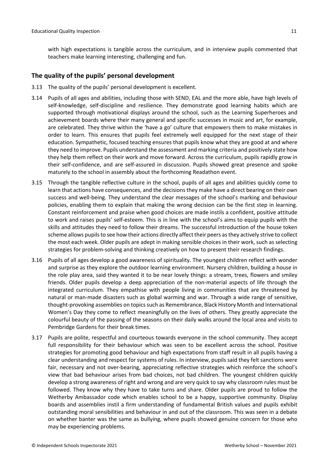with high expectations is tangible across the curriculum, and in interview pupils commented that teachers make learning interesting, challenging and fun.

### <span id="page-10-0"></span>**The quality of the pupils' personal development**

- 3.13 The quality of the pupils' personal development is excellent.
- 3.14 Pupils of all ages and abilities, including those with SEND, EAL and the more able, have high levels of self-knowledge, self-discipline and resilience. They demonstrate good learning habits which are supported through motivational displays around the school, such as the Learning Superheroes and achievement boards where their many general and specific successes in music and art, for example, are celebrated. They thrive within the 'have a go' culture that empowers them to make mistakes in order to learn. This ensures that pupils feel extremely well equipped for the next stage of their education. Sympathetic, focused teaching ensures that pupils know what they are good at and where they need to improve. Pupils understand the assessment and marking criteria and positively state how they help them reflect on their work and move forward. Across the curriculum, pupils rapidly grow in their self-confidence, and are self-assured in discussion. Pupils showed great presence and spoke maturely to the school in assembly about the forthcoming Readathon event.
- 3.15 Through the tangible reflective culture in the school, pupils of all ages and abilities quickly come to learn that actions have consequences, and the decisions they make have a direct bearing on their own success and well-being. They understand the clear messages of the school's marking and behaviour policies, enabling them to explain that making the wrong decision can be the first step in learning. Constant reinforcement and praise when good choices are made instils a confident, positive attitude to work and raises pupils' self-esteem. This is in line with the school's aims to equip pupils with the skills and attitudes they need to follow their dreams. The successful introduction of the house token scheme allows pupils to see how their actions directly affect their peers as they actively strive to collect the most each week. Older pupils are adept in making sensible choices in their work, such as selecting strategies for problem-solving and thinking creatively on how to present their research findings.
- 3.16 Pupils of all ages develop a good awareness of spirituality. The youngest children reflect with wonder and surprise as they explore the outdoor learning environment. Nursery children, building a house in the role play area, said they wanted it to be near lovely things: a stream, trees, flowers and smiley friends. Older pupils develop a deep appreciation of the non-material aspects of life through the integrated curriculum. They empathise with people living in communities that are threatened by natural or man-made disasters such as global warming and war. Through a wide range of sensitive, thought-provoking assemblies on topics such as Remembrance, Black History Month and International Women's Day they come to reflect meaningfully on the lives of others. They greatly appreciate the colourful beauty of the passing of the seasons on their daily walks around the local area and visits to Pembridge Gardens for their break times.
- 3.17 Pupils are polite, respectful and courteous towards everyone in the school community. They accept full responsibility for their behaviour which was seen to be excellent across the school. Positive strategies for promoting good behaviour and high expectations from staff result in all pupils having a clear understanding and respect for systems of rules. In interview, pupils said they felt sanctions were fair, necessary and not over-bearing, appreciating reflective strategies which reinforce the school's view that bad behaviour arises from bad choices, not bad children. The youngest children quickly develop a strong awareness of right and wrong and are very quick to say why classroom rules must be followed. They know why they have to take turns and share. Older pupils are proud to follow the Wetherby Ambassador code which enables school to be a happy, supportive community. Display boards and assemblies instil a firm understanding of fundamental British values and pupils exhibit outstanding moral sensibilities and behaviour in and out of the classroom. This was seen in a debate on whether banter was the same as bullying, where pupils showed genuine concern for those who may be experiencing problems.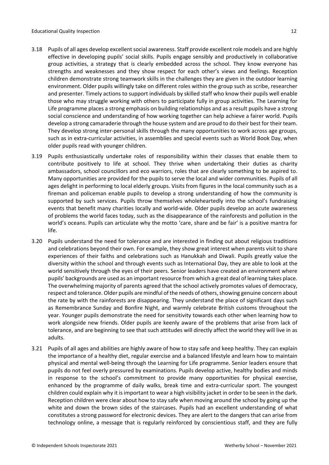- 3.18 Pupils of all ages develop excellent social awareness. Staff provide excellent role models and are highly effective in developing pupils' social skills. Pupils engage sensibly and productively in collaborative group activities, a strategy that is clearly embedded across the school. They know everyone has strengths and weaknesses and they show respect for each other's views and feelings. Reception children demonstrate strong teamwork skills in the challenges they are given in the outdoor learning environment. Older pupils willingly take on different roles within the group such as scribe, researcher and presenter. Timely actions to support individuals by skilled staff who know their pupils well enable those who may struggle working with others to participate fully in group activities. The Learning for Life programme places a strong emphasis on building relationships and as a result pupils have a strong social conscience and understanding of how working together can help achieve a fairer world. Pupils develop a strong camaraderie through the house system and are proud to do their best for their team. They develop strong inter-personal skills through the many opportunities to work across age groups, such as in extra-curricular activities, in assemblies and special events such as World Book Day, when older pupils read with younger children.
- 3.19 Pupils enthusiastically undertake roles of responsibility within their classes that enable them to contribute positively to life at school. They thrive when undertaking their duties as charity ambassadors, school councillors and eco warriors, roles that are clearly something to be aspired to. Many opportunities are provided for the pupils to serve the local and wider communities. Pupils of all ages delight in performing to local elderly groups. Visits from figures in the local community such as a fireman and policeman enable pupils to develop a strong understanding of how the community is supported by such services. Pupils throw themselves wholeheartedly into the school's fundraising events that benefit many charities locally and world-wide. Older pupils develop an acute awareness of problems the world faces today, such as the disappearance of the rainforests and pollution in the world's oceans. Pupils can articulate why the motto 'care, share and be fair' is a positive mantra for life.
- 3.20 Pupils understand the need for tolerance and are interested in finding out about religious traditions and celebrations beyond their own. For example, they show great interest when parents visit to share experiences of their faiths and celebrations such as Hanukkah and Diwali. Pupils greatly value the diversity within the school and through events such as International Day, they are able to look at the world sensitively through the eyes of their peers. Senior leaders have created an environment where pupils' backgrounds are used as an important resource from which a great deal of learning takes place. The overwhelming majority of parents agreed that the school actively promotes values of democracy, respect and tolerance. Older pupils are mindful of the needs of others, showing genuine concern about the rate by with the rainforests are disappearing. They understand the place of significant days such as Remembrance Sunday and Bonfire Night, and warmly celebrate British customs throughout the year. Younger pupils demonstrate the need for sensitivity towards each other when learning how to work alongside new friends. Older pupils are keenly aware of the problems that arise from lack of tolerance, and are beginning to see that such attitudes will directly affect the world they will live in as adults.
- 3.21 Pupils of all ages and abilities are highly aware of how to stay safe and keep healthy. They can explain the importance of a healthy diet, regular exercise and a balanced lifestyle and learn how to maintain physical and mental well-being through the Learning for Life programme. Senior leaders ensure that pupils do not feel overly pressured by examinations. Pupils develop active, healthy bodies and minds in response to the school's commitment to provide many opportunities for physical exercise, enhanced by the programme of daily walks, break time and extra-curricular sport. The youngest children could explain why it isimportant to wear a high visibility jacket in order to be seen in the dark. Reception children were clear about how to stay safe when moving around the school by going up the white and down the brown sides of the staircases. Pupils had an excellent understanding of what constitutes a strong password for electronic devices. They are alert to the dangers that can arise from technology online, a message that is regularly reinforced by conscientious staff, and they are fully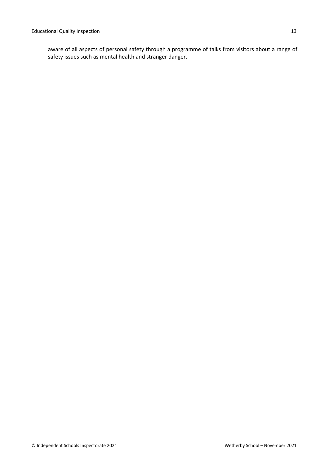aware of all aspects of personal safety through a programme of talks from visitors about a range of safety issues such as mental health and stranger danger.